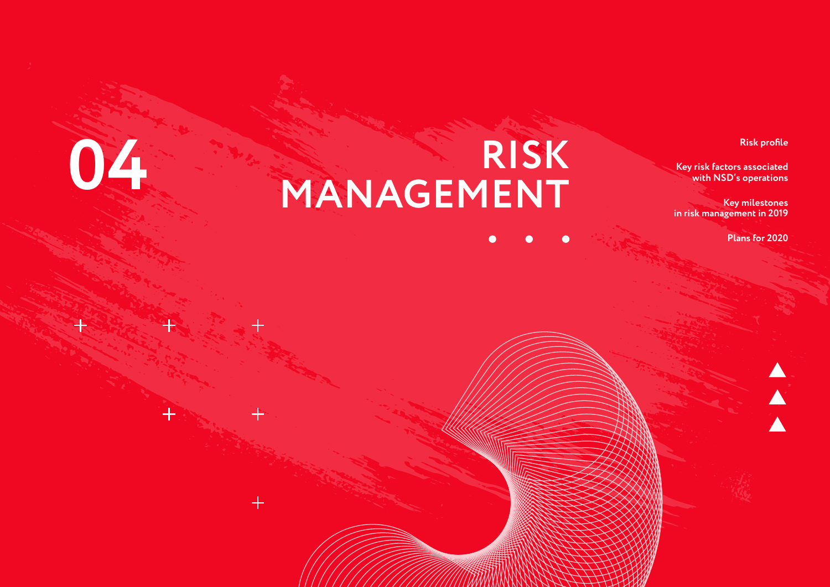#### **Risk profile**

**Key risk factors associated with NSD's operations**

**Key milestones in risk management in 2019** 

**Plans for 2020**

 $\overline{\blacktriangle}$ 

# **RISK 04 MANAGEMENT**

 $+$ 

斗

 $\bullet$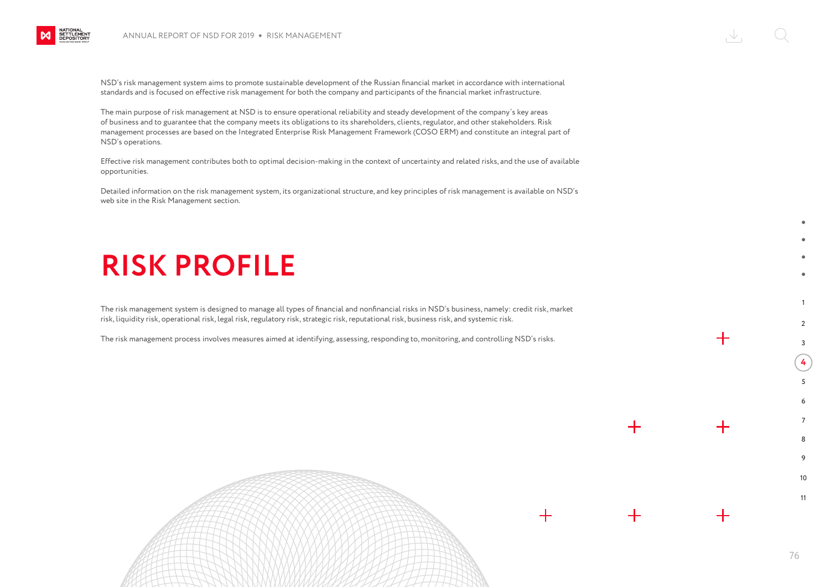

NSD's risk management system aims to promote sustainable development of the Russian financial market in accordance with international standards and is focused on effective risk management for both the company and participants of the financial market infrastructure.

The main purpose of risk management at NSD is to ensure operational reliability and steady development of the company's key areas of business and to guarantee that the company meets its obligations to its shareholders, clients, regulator, and other stakeholders. Risk management processes are based on the Integrated Enterprise Risk Management Framework (COSO ERM) and constitute an integral part of NSD's operations.

Effective risk management contributes both to optimal decision-making in the context of uncertainty and related risks, and the use of available opportunities.

Detailed information on the risk management system, its organizational structure, and key principles of risk management is available on NSD's web site in the Risk Management section.

#### **RISK PROFILE**

The risk management system is designed to manage all types of financial and nonfinancial risks in NSD's business, namely: credit risk, market risk, liquidity risk, operational risk, legal risk, regulatory risk, strategic risk, reputational risk, business risk, and systemic risk.

The risk management process involves measures aimed at identifying, assessing, responding to, monitoring, and controlling NSD's risks.

1

 $\mathcal{L}$ 3

┿

┿

 $\bm{+}$ 

 $\pm$ 

**4** 5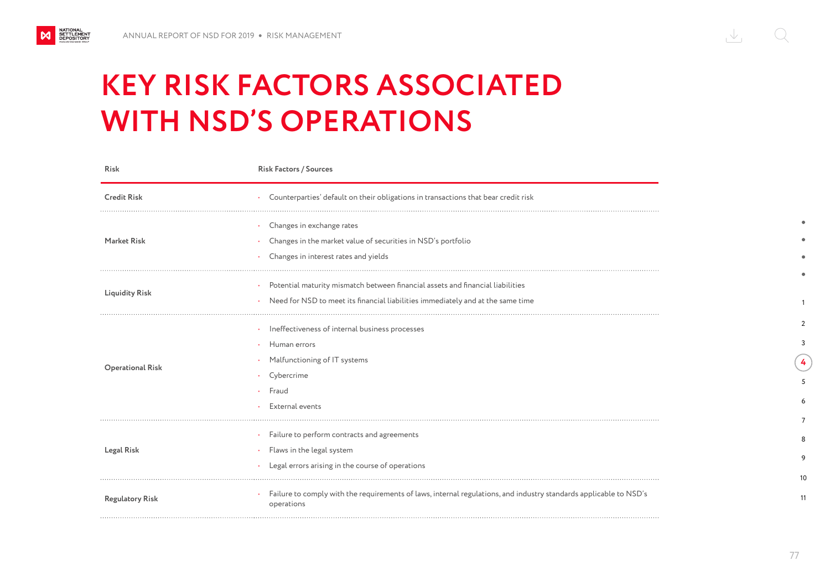NATIONAL<br>SETTLEMENT<br>DEPOSITORY

M

### **KEY RISK FACTORS ASSOCIATED WITH NSD'S OPERATIONS**

| Risk                    | <b>Risk Factors / Sources</b>                                                                                                   |
|-------------------------|---------------------------------------------------------------------------------------------------------------------------------|
| <b>Credit Risk</b>      | Counterparties' default on their obligations in transactions that bear credit risk                                              |
| <b>Market Risk</b>      | Changes in exchange rates<br>Changes in the market value of securities in NSD's portfolio                                       |
|                         | Changes in interest rates and yields                                                                                            |
| <b>Liquidity Risk</b>   | Potential maturity mismatch between financial assets and financial liabilities                                                  |
|                         | Need for NSD to meet its financial liabilities immediately and at the same time                                                 |
| <b>Operational Risk</b> | Ineffectiveness of internal business processes                                                                                  |
|                         | Human errors                                                                                                                    |
|                         | Malfunctioning of IT systems                                                                                                    |
|                         | Cybercrime                                                                                                                      |
|                         | Fraud                                                                                                                           |
|                         | External events                                                                                                                 |
| <b>Legal Risk</b>       | Failure to perform contracts and agreements                                                                                     |
|                         | Flaws in the legal system                                                                                                       |
|                         | Legal errors arising in the course of operations                                                                                |
| <b>Regulatory Risk</b>  | Failure to comply with the requirements of laws, internal regulations, and industry standards applicable to NSD's<br>operations |

1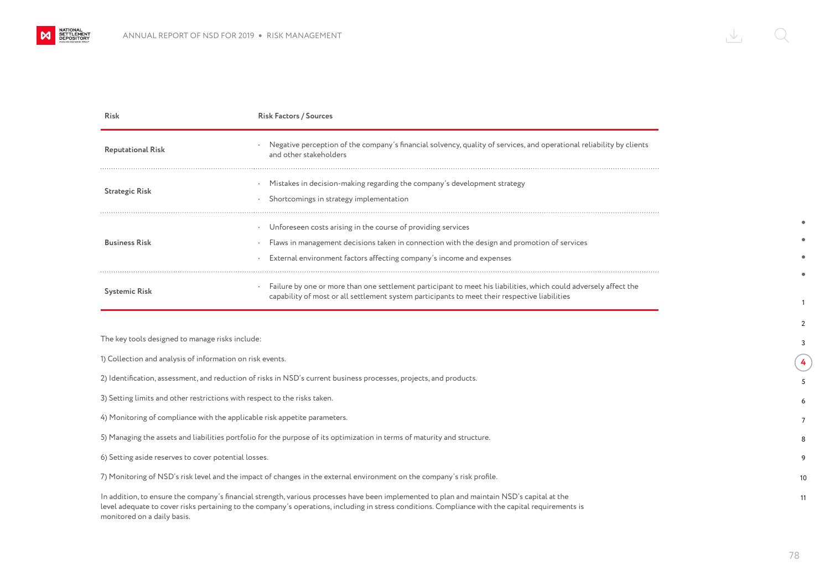

| <b>Risk</b>                                               | <b>Risk Factors / Sources</b>                                                                                                                                                                                                       |
|-----------------------------------------------------------|-------------------------------------------------------------------------------------------------------------------------------------------------------------------------------------------------------------------------------------|
| <b>Reputational Risk</b>                                  | Negative perception of the company's financial solvency, quality of services, and operational reliability by clients<br>and other stakeholders                                                                                      |
| <b>Strategic Risk</b>                                     | Mistakes in decision-making regarding the company's development strategy<br>Shortcomings in strategy implementation                                                                                                                 |
| <b>Business Risk</b>                                      | Unforeseen costs arising in the course of providing services<br>Flaws in management decisions taken in connection with the design and promotion of services<br>External environment factors affecting company's income and expenses |
| <b>Systemic Risk</b>                                      | Failure by one or more than one settlement participant to meet his liabilities, which could adversely affect the<br>capability of most or all settlement system participants to meet their respective liabilities                   |
| The key tools designed to manage risks include:           |                                                                                                                                                                                                                                     |
| 1) Collection and analysis of information on risk events. |                                                                                                                                                                                                                                     |
|                                                           | 2) Identification, assessment, and reduction of risks in NSD's current business processes, projects, and products.                                                                                                                  |

3) Setting limits and other restrictions with respect to the risks taken.

4) Monitoring of compliance with the applicable risk appetite parameters.

5) Managing the assets and liabilities portfolio for the purpose of its optimization in terms of maturity and structure.

6) Setting aside reserves to cover potential losses.

7) Monitoring of NSD's risk level and the impact of changes in the external environment on the company's risk profile.

In addition, to ensure the company's financial strength, various processes have been implemented to plan and maintain NSD's capital at the level adequate to cover risks pertaining to the company's operations, including in stress conditions. Compliance with the capital requirements is monitored on a daily basis.

1

 $\overline{2}$ 3

**4** 5

10